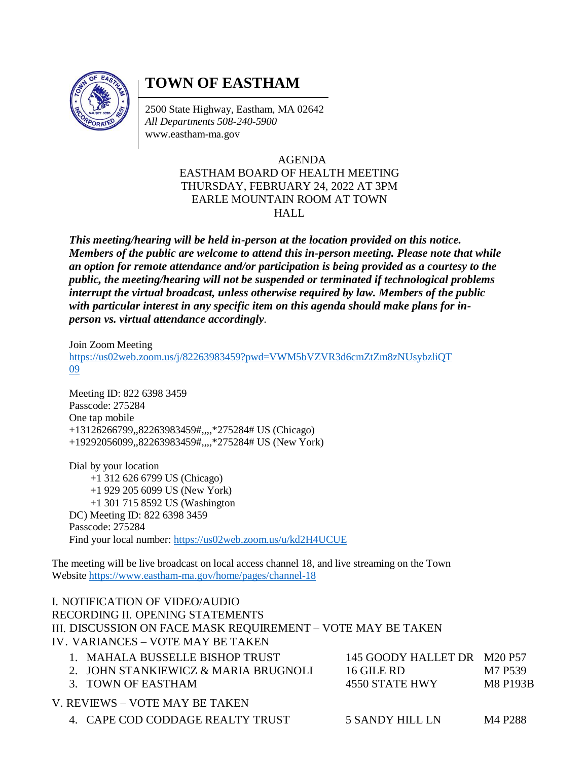

## **TOWN OF EASTHAM**

2500 State Highway, Eastham, MA 02642 *All Departments 508-240-5900* [www.eastham-ma.gov](http://www.eastham-ma.gov/)

## AGENDA EASTHAM BOARD OF HEALTH MEETING THURSDAY, FEBRUARY 24, 2022 AT 3PM EARLE MOUNTAIN ROOM AT TOWN **HALL**

*This meeting/hearing will be held in-person at the location provided on this notice. Members of the public are welcome to attend this in-person meeting. Please note that while an option for remote attendance and/or participation is being provided as a courtesy to the public, the meeting/hearing will not be suspended or terminated if technological problems interrupt the virtual broadcast, unless otherwise required by law. Members of the public with particular interest in any specific item on this agenda should make plans for inperson vs. virtual attendance accordingly.*

Join Zoom Meeting

[https://us02web.zoom.us/j/82263983459?pwd=VWM5bVZVR3d6cmZtZm8zNUsybzliQT](https://us02web.zoom.us/j/82263983459?pwd=VWM5bVZVR3d6cmZtZm8zNUsybzliQT09) [09](https://us02web.zoom.us/j/82263983459?pwd=VWM5bVZVR3d6cmZtZm8zNUsybzliQT09)

Meeting ID: 822 6398 3459 Passcode: 275284 One tap mobile +13126266799,,82263983459#,,,,\*275284# US (Chicago) +19292056099,,82263983459#,,,,\*275284# US (New York)

Dial by your location +1 312 626 6799 US (Chicago) +1 929 205 6099 US (New York) +1 301 715 8592 US (Washington DC) Meeting ID: 822 6398 3459 Passcode: 275284 Find your local number:<https://us02web.zoom.us/u/kd2H4UCUE>

The meeting will be live broadcast on local access channel 18, and live streaming on the Town Websit[e https://www.eastham-ma.gov/home/pages/channel-18](https://www.eastham-ma.gov/home/pages/channel-18)

## I. NOTIFICATION OF VIDEO/AUDIO RECORDING II. OPENING STATEMENTS III. DISCUSSION ON FACE MASK REQUIREMENT – VOTE MAY BE TAKEN IV. VARIANCES – VOTE MAY BE TAKEN

| 1. MAHALA BUSSELLE BISHOP TRUST.     | 145 GOODY HALLET DR M20 P57 |                 |
|--------------------------------------|-----------------------------|-----------------|
| 2. JOHN STANKIEWICZ & MARIA BRUGNOLI | 16 GILE RD                  | M7 P539         |
| 3. TOWN OF EASTHAM                   | 4550 STATE HWY              | <b>M8 P193B</b> |
| V. REVIEWS – VOTE MAY BE TAKEN-      |                             |                 |
| 4. CAPE COD CODDAGE REALTY TRUST     | 5 SANDY HILL LN             | M4 P288         |